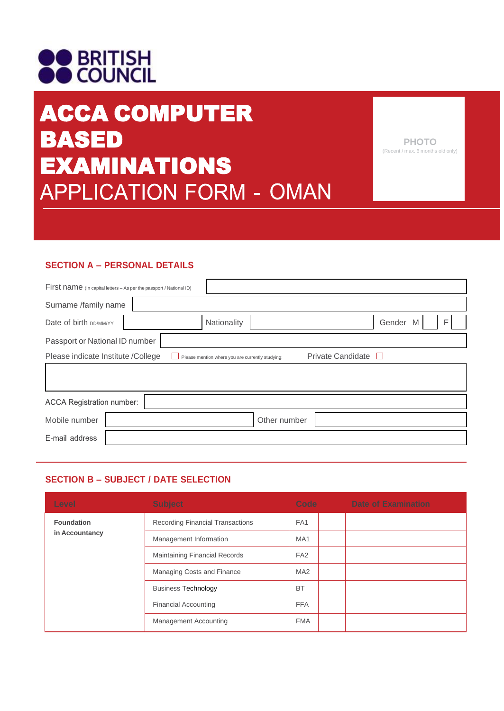# **OO BRITISH**<br>**OO** COUNCIL

# ACCA COMPUTER BASED EXAMINATIONS **APPLICATION FORM - OMAN**

**PHOTO** (Recent / max. 6 months old only)

## **SECTION A – PERSONAL DETAILS**

| First name (In capital letters - As per the passport / National ID)                                         |  |             |              |  |                  |  |
|-------------------------------------------------------------------------------------------------------------|--|-------------|--------------|--|------------------|--|
| Surname /family name                                                                                        |  |             |              |  |                  |  |
| Date of birth DD/MM/YY                                                                                      |  | Nationality |              |  | Gender<br>F<br>M |  |
| Passport or National ID number                                                                              |  |             |              |  |                  |  |
| Private Candidate<br>Please indicate Institute /College<br>Please mention where you are currently studying: |  |             |              |  |                  |  |
|                                                                                                             |  |             |              |  |                  |  |
|                                                                                                             |  |             |              |  |                  |  |
| <b>ACCA Registration number:</b>                                                                            |  |             |              |  |                  |  |
| Mobile number                                                                                               |  |             | Other number |  |                  |  |
| E-mail address                                                                                              |  |             |              |  |                  |  |

### **SECTION B – SUBJECT / DATE SELECTION**

| Level                               | <b>Subject</b>                       | Code in the Code | Date of Examination |
|-------------------------------------|--------------------------------------|------------------|---------------------|
| <b>Foundation</b><br>in Accountancy | Recording Financial Transactions     | FA <sub>1</sub>  |                     |
|                                     | Management Information               | MA <sub>1</sub>  |                     |
|                                     | <b>Maintaining Financial Records</b> | FA <sub>2</sub>  |                     |
|                                     | Managing Costs and Finance           | MA <sub>2</sub>  |                     |
|                                     | <b>Business Technology</b>           | <b>BT</b>        |                     |
|                                     | <b>Financial Accounting</b>          | <b>FFA</b>       |                     |
|                                     | <b>Management Accounting</b>         | <b>FMA</b>       |                     |